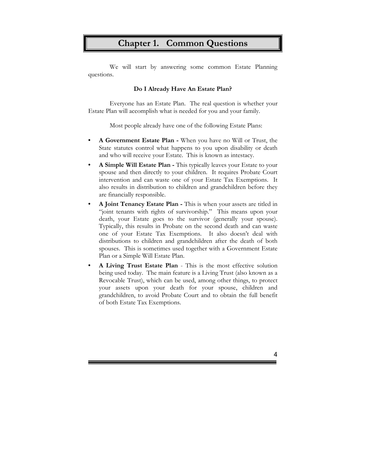# **Chapter 1. Common Questions**

 We will start by answering some common Estate Planning questions.

## **Do I Already Have An Estate Plan?**

Everyone has an Estate Plan. The real question is whether your Estate Plan will accomplish what is needed for you and your family.

Most people already have one of the following Estate Plans:

- **• A Government Estate Plan -** When you have no Will or Trust, the State statutes control what happens to you upon disability or death and who will receive your Estate. This is known as intestacy.
- **• A Simple Will Estate Plan -** This typically leaves your Estate to your spouse and then directly to your children. It requires Probate Court intervention and can waste one of your Estate Tax Exemptions. It also results in distribution to children and grandchildren before they are financially responsible.
- **• A Joint Tenancy Estate Plan -** This is when your assets are titled in "joint tenants with rights of survivorship." This means upon your death, your Estate goes to the survivor (generally your spouse). Typically, this results in Probate on the second death and can waste one of your Estate Tax Exemptions. It also doesn't deal with distributions to children and grandchildren after the death of both spouses. This is sometimes used together with a Government Estate Plan or a Simple Will Estate Plan.
- **• A Living Trust Estate Plan**  This is the most effective solution being used today. The main feature is a Living Trust (also known as a Revocable Trust), which can be used, among other things, to protect your assets upon your death for your spouse, children and grandchildren, to avoid Probate Court and to obtain the full benefit of both Estate Tax Exemptions.

4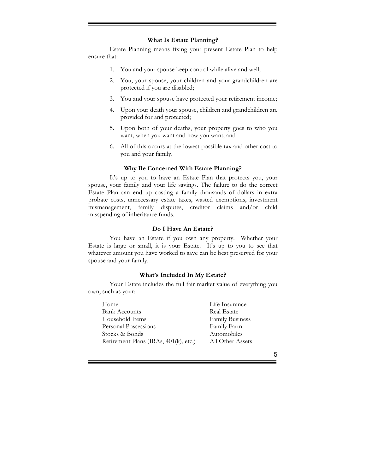#### **What Is Estate Planning?**

Estate Planning means fixing your present Estate Plan to help ensure that:

- 1. You and your spouse keep control while alive and well;
- 2. You, your spouse, your children and your grandchildren are protected if you are disabled;
- 3. You and your spouse have protected your retirement income;
- 4. Upon your death your spouse, children and grandchildren are provided for and protected;
- 5. Upon both of your deaths, your property goes to who you want, when you want and how you want; and
- 6. All of this occurs at the lowest possible tax and other cost to you and your family.

#### **Why Be Concerned With Estate Planning?**

It's up to you to have an Estate Plan that protects you, your spouse, your family and your life savings. The failure to do the correct Estate Plan can end up costing a family thousands of dollars in extra probate costs, unnecessary estate taxes, wasted exemptions, investment mismanagement, family disputes, creditor claims and/or child misspending of inheritance funds.

#### **Do I Have An Estate?**

You have an Estate if you own any property. Whether your Estate is large or small, it is your Estate. It's up to you to see that whatever amount you have worked to save can be best preserved for your spouse and your family.

#### **What's Included In My Estate?**

Your Estate includes the full fair market value of everything you own, such as your:

| Home                                  | Life Insurance         |
|---------------------------------------|------------------------|
| <b>Bank Accounts</b>                  | <b>Real Estate</b>     |
| Household Items                       | <b>Family Business</b> |
| Personal Possessions                  | Family Farm            |
| Stocks & Bonds                        | Automobiles            |
| Retirement Plans (IRAs, 401(k), etc.) | All Other Assets       |

5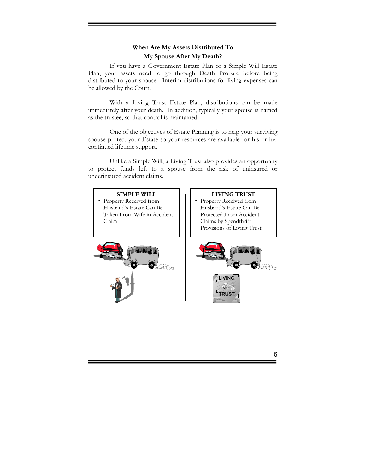# **When Are My Assets Distributed To**

# **My Spouse After My Death?**

If you have a Government Estate Plan or a Simple Will Estate Plan, your assets need to go through Death Probate before being distributed to your spouse. Interim distributions for living expenses can be allowed by the Court.

With a Living Trust Estate Plan, distributions can be made immediately after your death. In addition, typically your spouse is named as the trustee, so that control is maintained.

One of the objectives of Estate Planning is to help your surviving spouse protect your Estate so your resources are available for his or her continued lifetime support.

Unlike a Simple Will, a Living Trust also provides an opportunity to protect funds left to a spouse from the risk of uninsured or underinsured accident claims.



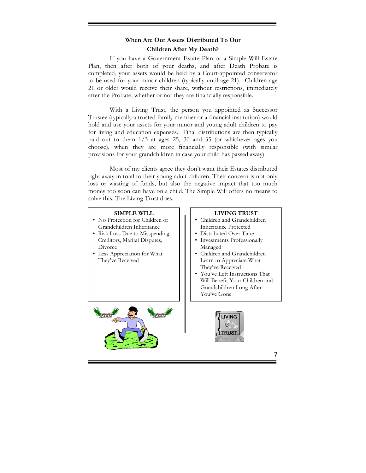# **When Are Our Assets Distributed To Our Children After My Death?**

If you have a Government Estate Plan or a Simple Will Estate Plan, then after both of your deaths, and after Death Probate is completed, your assets would be held by a Court-appointed conservator to be used for your minor children (typically until age 21). Children age 21 or older would receive their share, without restrictions, immediately after the Probate, whether or not they are financially responsible.

With a Living Trust, the person you appointed as Successor Trustee (typically a trusted family member or a financial institution) would hold and use your assets for your minor and young adult children to pay for living and education expenses. Final distributions are then typically paid out to them 1/3 at ages 25, 30 and 35 (or whichever ages you choose), when they are more financially responsible (with similar provisions for your grandchildren in case your child has passed away).

Most of my clients agree they don't want their Estates distributed right away in total to their young adult children. Their concern is not only loss or wasting of funds, but also the negative impact that too much money too soon can have on a child. The Simple Will offers no means to solve this. The Living Trust does.

#### **SIMPLE WILL**

- No Protection for Children or Grandchildren Inheritance
- Risk Loss Due to Misspending, Creditors, Marital Disputes, **Divorce**
- Less Appreciation for What They've Received

#### **LIVING TRUST**

- Children and Grandchildren Inheritance Protected
- Distributed Over Time
- Investments Professionally Managed
- Children and Grandchildren Learn to Appreciate What They've Received
- You've Left Instructions That Will Benefit Your Children and Grandchildren Long After You've Gone





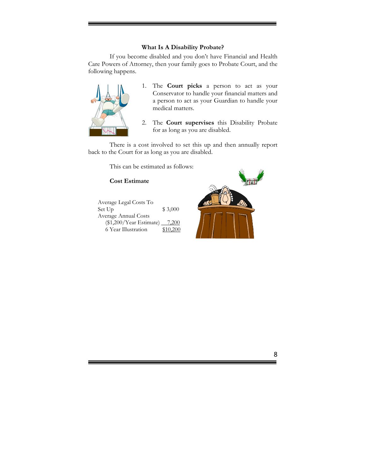## **What Is A Disability Probate?**

If you become disabled and you don't have Financial and Health Care Powers of Attorney, then your family goes to Probate Court, and the following happens.



- 1. The **Court picks** a person to act as your Conservator to handle your financial matters and a person to act as your Guardian to handle your medical matters.
- 2. The **Court supervises** this Disability Probate for as long as you are disabled.

There is a cost involved to set this up and then annually report back to the Court for as long as you are disabled.

This can be estimated as follows:

# **Cost Estimate**

| Average Legal Costs To        |          |
|-------------------------------|----------|
| Set Up                        | \$3,000  |
| Average Annual Costs          |          |
| (\$1,200/Year Estimate) 7,200 |          |
| 6 Year Illustration           | \$10,200 |



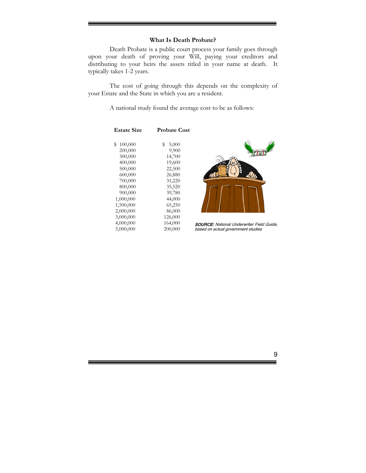## **What Is Death Probate?**

Death Probate is a public court process your family goes through upon your death of proving your Will, paying your creditors and distributing to your heirs the assets titled in your name at death. It typically takes 1-2 years.

The cost of going through this depends on the complexity of your Estate and the State in which you are a resident.

A national study found the average cost to be as follows:

| <b>Estate Size</b> | <b>Probate Cost</b> |
|--------------------|---------------------|
| \$                 | 5,000               |
| 100,000            | S                   |
| 200,000            | 9,900               |
| 300,000            | 14,700              |
| 400,000            | 19,600              |
| 500,000            | 22,500              |
| 600,000            | 26,880              |
| 700,000            | 31,220              |
| 800,000            | 35,520              |
| 900,000            | 39,780              |
| 1,000,000          | 44,000              |
| 1,500,000          | 65,250              |
| 2,000,000          | 86,000              |
| 3,000,000          | 126,000             |
| 4,000,000          | 164,000             |
| 5,000,000          | 200,000             |
|                    |                     |



SOURCE: National Underwriter Field Guide, based on actual government studies

9